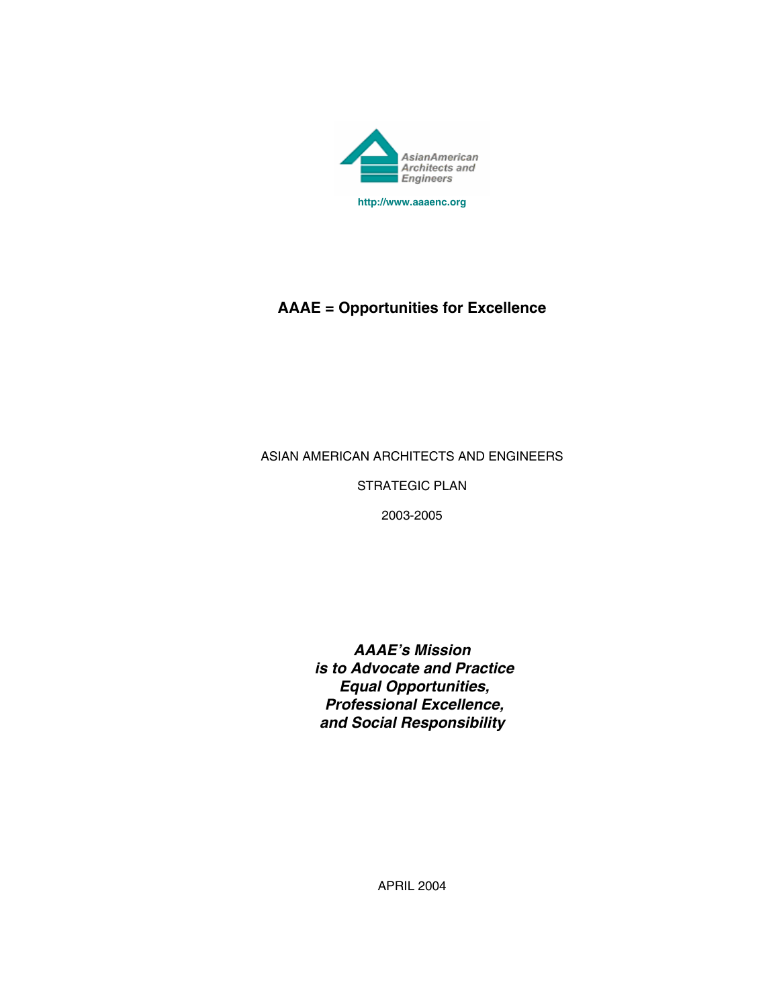

# **AAAE = Opportunities for Excellence**

## ASIAN AMERICAN ARCHITECTS AND ENGINEERS

STRATEGIC PLAN

2003-2005

*AAAE's Mission is to Advocate and Practice Equal Opportunities, Professional Excellence, and Social Responsibility*

APRIL 2004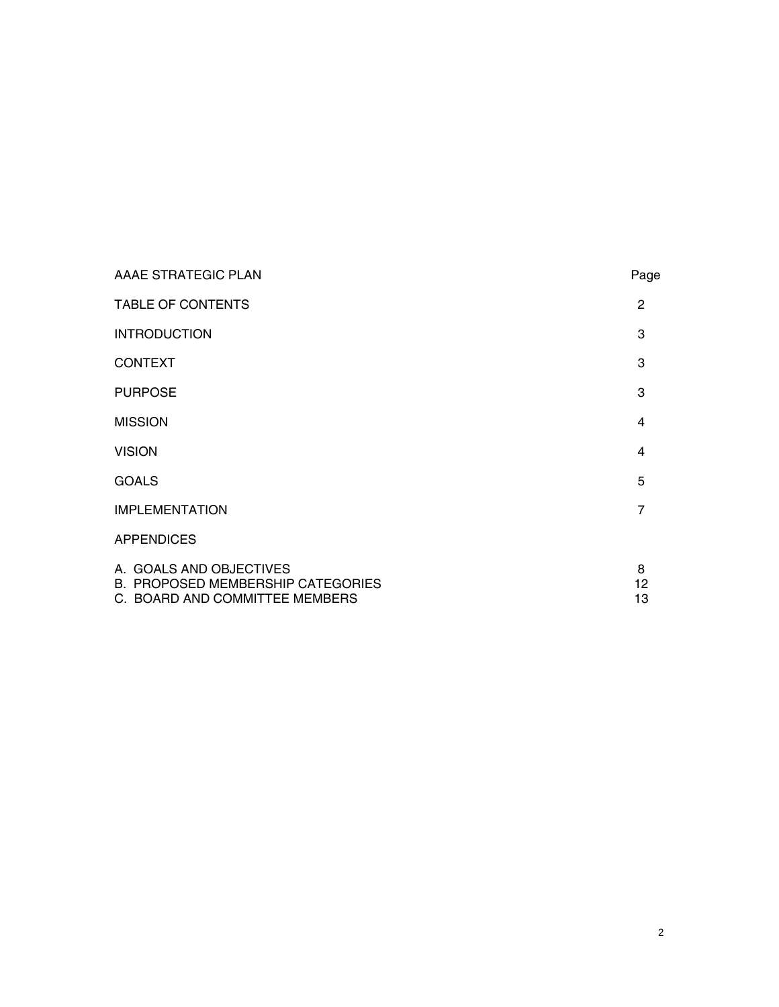| AAAE STRATEGIC PLAN                                                                                   | Page           |
|-------------------------------------------------------------------------------------------------------|----------------|
| <b>TABLE OF CONTENTS</b>                                                                              | $\overline{2}$ |
| <b>INTRODUCTION</b>                                                                                   | 3              |
| <b>CONTEXT</b>                                                                                        | 3              |
| <b>PURPOSE</b>                                                                                        | 3              |
| <b>MISSION</b>                                                                                        | 4              |
| <b>VISION</b>                                                                                         | 4              |
| <b>GOALS</b>                                                                                          | 5              |
| <b>IMPLEMENTATION</b>                                                                                 | $\overline{7}$ |
| <b>APPENDICES</b>                                                                                     |                |
| A. GOALS AND OBJECTIVES<br><b>B. PROPOSED MEMBERSHIP CATEGORIES</b><br>C. BOARD AND COMMITTEE MEMBERS | 8<br>12<br>13  |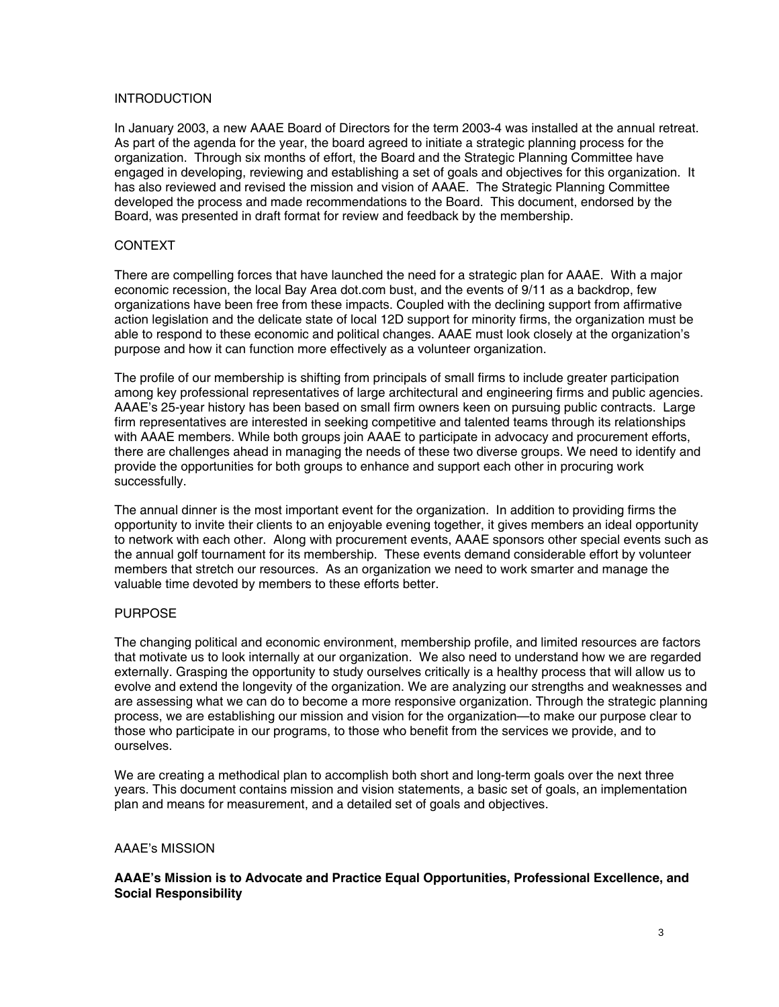## **INTRODUCTION**

In January 2003, a new AAAE Board of Directors for the term 2003-4 was installed at the annual retreat. As part of the agenda for the year, the board agreed to initiate a strategic planning process for the organization. Through six months of effort, the Board and the Strategic Planning Committee have engaged in developing, reviewing and establishing a set of goals and objectives for this organization. It has also reviewed and revised the mission and vision of AAAE. The Strategic Planning Committee developed the process and made recommendations to the Board. This document, endorsed by the Board, was presented in draft format for review and feedback by the membership.

## CONTEXT

There are compelling forces that have launched the need for a strategic plan for AAAE. With a major economic recession, the local Bay Area dot.com bust, and the events of 9/11 as a backdrop, few organizations have been free from these impacts. Coupled with the declining support from affirmative action legislation and the delicate state of local 12D support for minority firms, the organization must be able to respond to these economic and political changes. AAAE must look closely at the organization's purpose and how it can function more effectively as a volunteer organization.

The profile of our membership is shifting from principals of small firms to include greater participation among key professional representatives of large architectural and engineering firms and public agencies. AAAE's 25-year history has been based on small firm owners keen on pursuing public contracts. Large firm representatives are interested in seeking competitive and talented teams through its relationships with AAAE members. While both groups join AAAE to participate in advocacy and procurement efforts, there are challenges ahead in managing the needs of these two diverse groups. We need to identify and provide the opportunities for both groups to enhance and support each other in procuring work successfully.

The annual dinner is the most important event for the organization. In addition to providing firms the opportunity to invite their clients to an enjoyable evening together, it gives members an ideal opportunity to network with each other. Along with procurement events, AAAE sponsors other special events such as the annual golf tournament for its membership. These events demand considerable effort by volunteer members that stretch our resources. As an organization we need to work smarter and manage the valuable time devoted by members to these efforts better.

#### PURPOSE

The changing political and economic environment, membership profile, and limited resources are factors that motivate us to look internally at our organization. We also need to understand how we are regarded externally. Grasping the opportunity to study ourselves critically is a healthy process that will allow us to evolve and extend the longevity of the organization. We are analyzing our strengths and weaknesses and are assessing what we can do to become a more responsive organization. Through the strategic planning process, we are establishing our mission and vision for the organization—to make our purpose clear to those who participate in our programs, to those who benefit from the services we provide, and to ourselves.

We are creating a methodical plan to accomplish both short and long-term goals over the next three years. This document contains mission and vision statements, a basic set of goals, an implementation plan and means for measurement, and a detailed set of goals and objectives.

#### AAAE's MISSION

#### **AAAE's Mission is to Advocate and Practice Equal Opportunities, Professional Excellence, and Social Responsibility**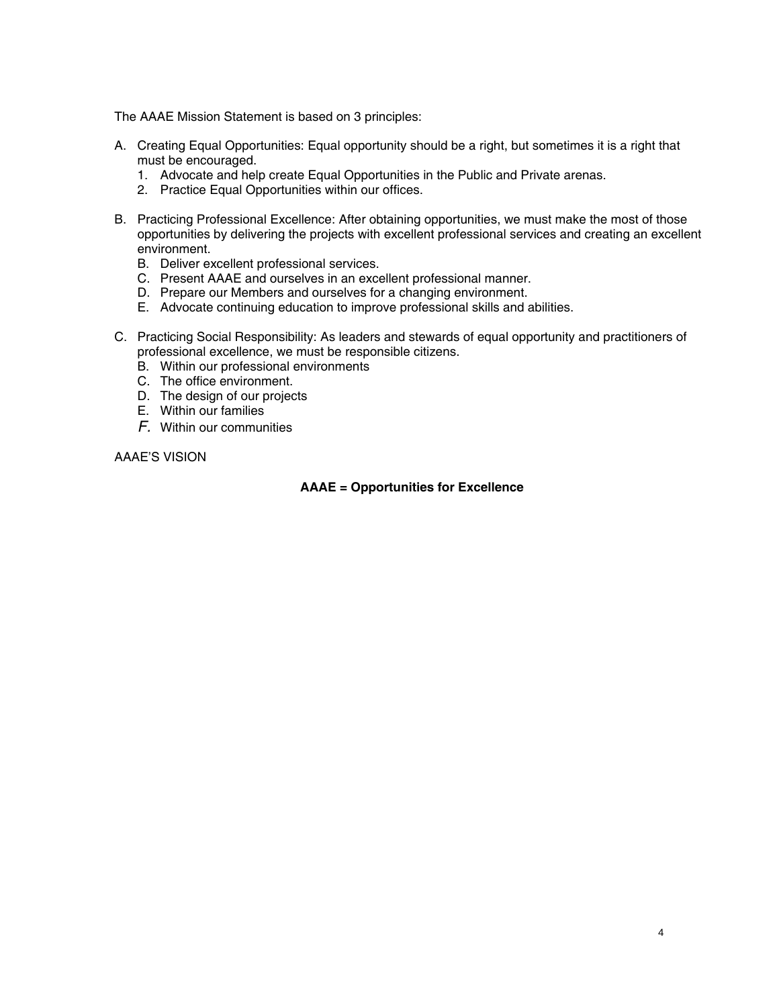The AAAE Mission Statement is based on 3 principles:

- A. Creating Equal Opportunities: Equal opportunity should be a right, but sometimes it is a right that must be encouraged.
	- 1. Advocate and help create Equal Opportunities in the Public and Private arenas.
	- 2. Practice Equal Opportunities within our offices.
- B. Practicing Professional Excellence: After obtaining opportunities, we must make the most of those opportunities by delivering the projects with excellent professional services and creating an excellent environment.
	- B. Deliver excellent professional services.
	- C. Present AAAE and ourselves in an excellent professional manner.
	- D. Prepare our Members and ourselves for a changing environment.
	- E. Advocate continuing education to improve professional skills and abilities.
- C. Practicing Social Responsibility: As leaders and stewards of equal opportunity and practitioners of professional excellence, we must be responsible citizens.
	- B. Within our professional environments
	- C. The office environment.
	- D. The design of our projects
	- E. Within our families
	- *F.* Within our communities

AAAE'S VISION

## **AAAE = Opportunities for Excellence**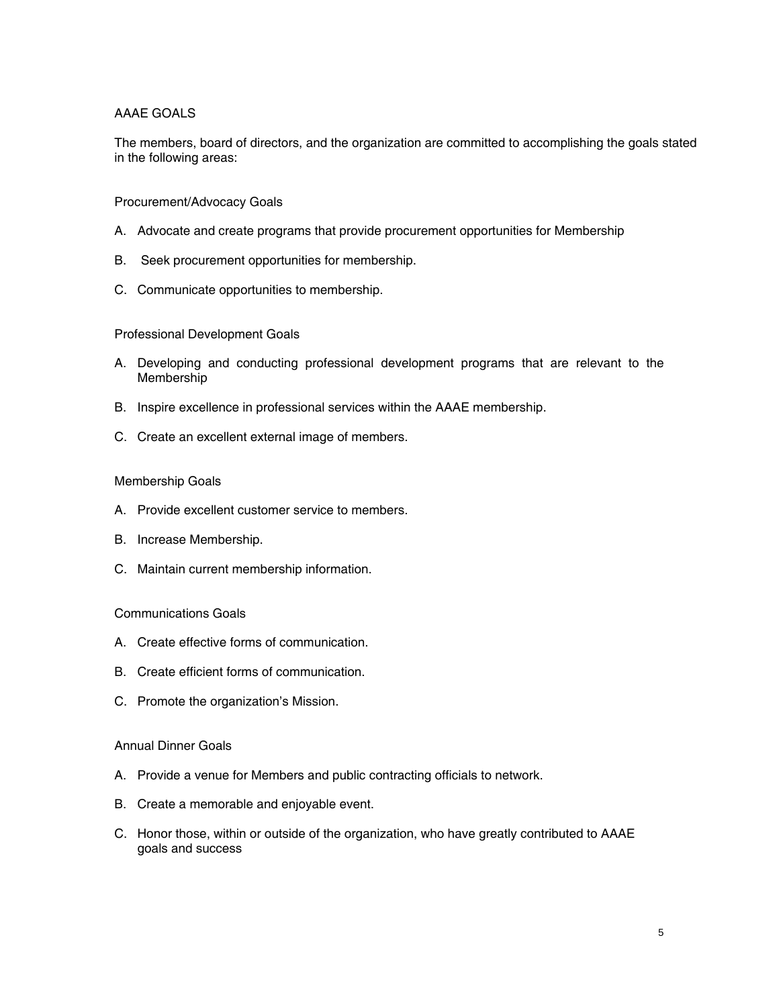## AAAE GOALS

The members, board of directors, and the organization are committed to accomplishing the goals stated in the following areas:

#### Procurement/Advocacy Goals

- A. Advocate and create programs that provide procurement opportunities for Membership
- B. Seek procurement opportunities for membership.
- C. Communicate opportunities to membership.

#### Professional Development Goals

- A. Developing and conducting professional development programs that are relevant to the Membership
- B. Inspire excellence in professional services within the AAAE membership.
- C. Create an excellent external image of members.

#### Membership Goals

- A. Provide excellent customer service to members.
- B. Increase Membership.
- C. Maintain current membership information.

#### Communications Goals

- A. Create effective forms of communication.
- B. Create efficient forms of communication.
- C. Promote the organization's Mission.

#### Annual Dinner Goals

- A. Provide a venue for Members and public contracting officials to network.
- B. Create a memorable and enjoyable event.
- C. Honor those, within or outside of the organization, who have greatly contributed to AAAE goals and success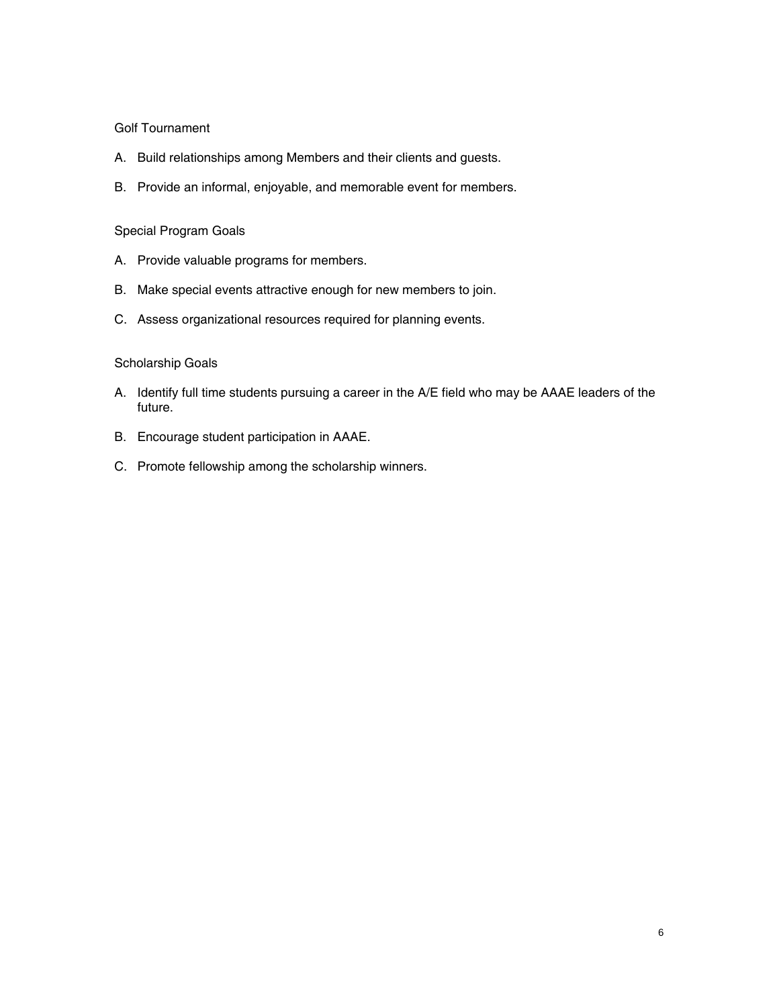#### Golf Tournament

- A. Build relationships among Members and their clients and guests.
- B. Provide an informal, enjoyable, and memorable event for members.

## Special Program Goals

- A. Provide valuable programs for members.
- B. Make special events attractive enough for new members to join.
- C. Assess organizational resources required for planning events.

## Scholarship Goals

- A. Identify full time students pursuing a career in the A/E field who may be AAAE leaders of the future.
- B. Encourage student participation in AAAE.
- C. Promote fellowship among the scholarship winners.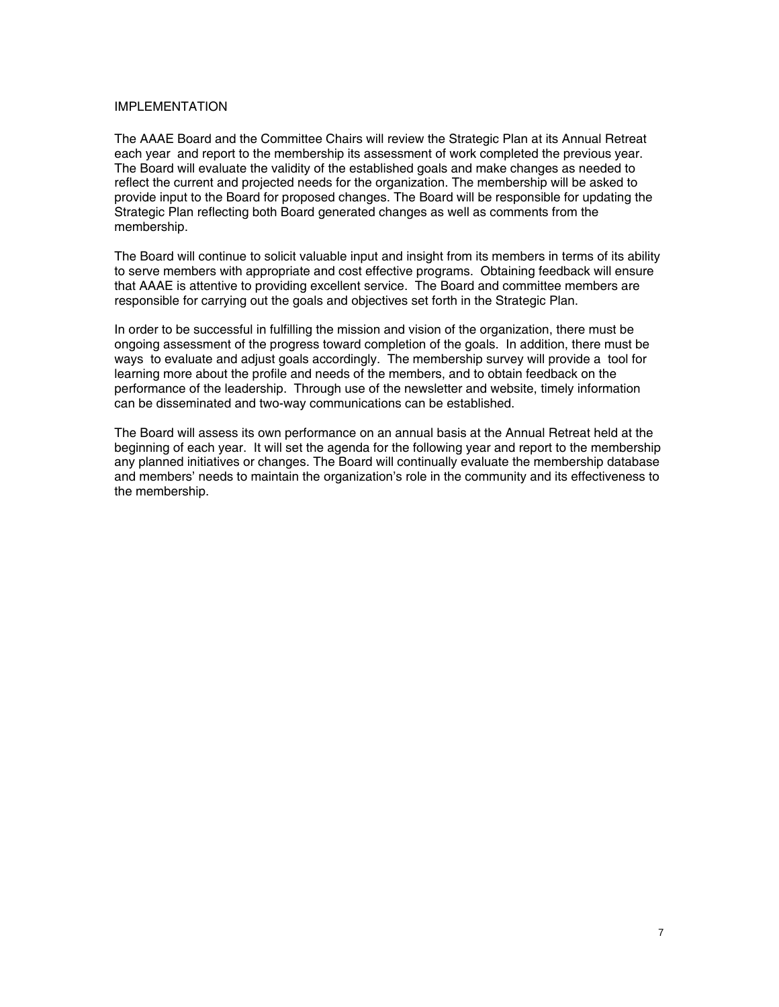## IMPLEMENTATION

The AAAE Board and the Committee Chairs will review the Strategic Plan at its Annual Retreat each year and report to the membership its assessment of work completed the previous year. The Board will evaluate the validity of the established goals and make changes as needed to reflect the current and projected needs for the organization. The membership will be asked to provide input to the Board for proposed changes. The Board will be responsible for updating the Strategic Plan reflecting both Board generated changes as well as comments from the membership.

The Board will continue to solicit valuable input and insight from its members in terms of its ability to serve members with appropriate and cost effective programs. Obtaining feedback will ensure that AAAE is attentive to providing excellent service. The Board and committee members are responsible for carrying out the goals and objectives set forth in the Strategic Plan.

In order to be successful in fulfilling the mission and vision of the organization, there must be ongoing assessment of the progress toward completion of the goals. In addition, there must be ways to evaluate and adjust goals accordingly. The membership survey will provide a tool for learning more about the profile and needs of the members, and to obtain feedback on the performance of the leadership. Through use of the newsletter and website, timely information can be disseminated and two-way communications can be established.

The Board will assess its own performance on an annual basis at the Annual Retreat held at the beginning of each year. It will set the agenda for the following year and report to the membership any planned initiatives or changes. The Board will continually evaluate the membership database and members' needs to maintain the organization's role in the community and its effectiveness to the membership.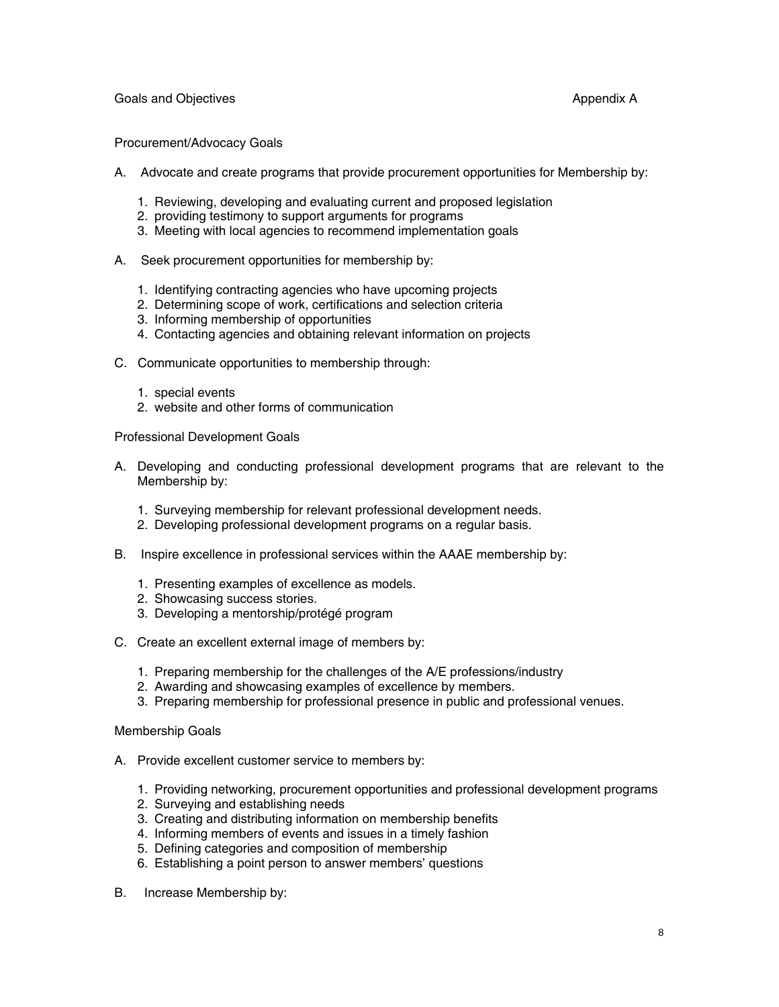Goals and Objectives **Appendix A Appendix A Appendix A Appendix A** 

#### Procurement/Advocacy Goals

- A. Advocate and create programs that provide procurement opportunities for Membership by:
	- 1. Reviewing, developing and evaluating current and proposed legislation
	- 2. providing testimony to support arguments for programs
	- 3. Meeting with local agencies to recommend implementation goals
- A. Seek procurement opportunities for membership by:
	- 1. Identifying contracting agencies who have upcoming projects
	- 2. Determining scope of work, certifications and selection criteria
	- 3. Informing membership of opportunities
	- 4. Contacting agencies and obtaining relevant information on projects
- C. Communicate opportunities to membership through:
	- 1. special events
	- 2. website and other forms of communication

Professional Development Goals

- A. Developing and conducting professional development programs that are relevant to the Membership by:
	- 1. Surveying membership for relevant professional development needs.
	- 2. Developing professional development programs on a regular basis.
- B. Inspire excellence in professional services within the AAAE membership by:
	- 1. Presenting examples of excellence as models.
	- 2. Showcasing success stories.
	- 3. Developing a mentorship/protégé program
- C. Create an excellent external image of members by:
	- 1. Preparing membership for the challenges of the A/E professions/industry
	- 2. Awarding and showcasing examples of excellence by members.
	- 3. Preparing membership for professional presence in public and professional venues.

#### Membership Goals

- A. Provide excellent customer service to members by:
	- 1. Providing networking, procurement opportunities and professional development programs
	- 2. Surveying and establishing needs
	- 3. Creating and distributing information on membership benefits
	- 4. Informing members of events and issues in a timely fashion
	- 5. Defining categories and composition of membership
	- 6. Establishing a point person to answer members' questions
- B. Increase Membership by: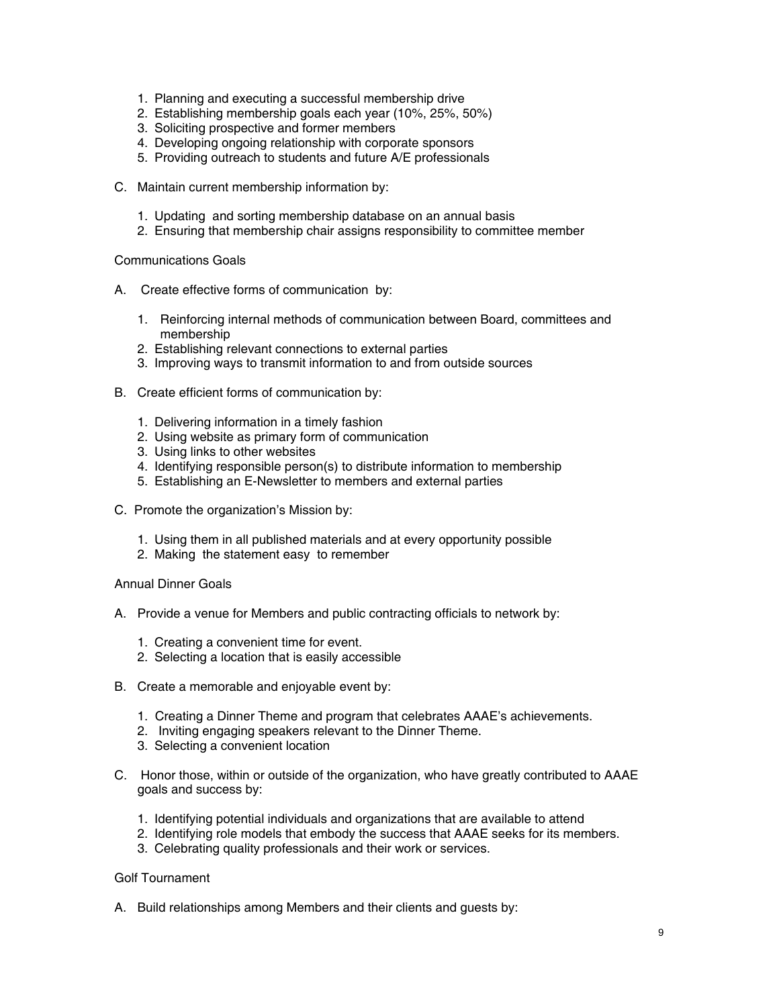- 1. Planning and executing a successful membership drive
- 2. Establishing membership goals each year (10%, 25%, 50%)
- 3. Soliciting prospective and former members
- 4. Developing ongoing relationship with corporate sponsors
- 5. Providing outreach to students and future A/E professionals
- C. Maintain current membership information by:
	- 1. Updating and sorting membership database on an annual basis
	- 2. Ensuring that membership chair assigns responsibility to committee member

Communications Goals

- A. Create effective forms of communication by:
	- 1. Reinforcing internal methods of communication between Board, committees and membership
	- 2. Establishing relevant connections to external parties
	- 3. Improving ways to transmit information to and from outside sources
- B. Create efficient forms of communication by:
	- 1. Delivering information in a timely fashion
	- 2. Using website as primary form of communication
	- 3. Using links to other websites
	- 4. Identifying responsible person(s) to distribute information to membership
	- 5. Establishing an E-Newsletter to members and external parties
- C. Promote the organization's Mission by:
	- 1. Using them in all published materials and at every opportunity possible
	- 2. Making the statement easy to remember

#### Annual Dinner Goals

- A. Provide a venue for Members and public contracting officials to network by:
	- 1. Creating a convenient time for event.
	- 2. Selecting a location that is easily accessible
- B. Create a memorable and enjoyable event by:
	- 1. Creating a Dinner Theme and program that celebrates AAAE's achievements.
	- 2. Inviting engaging speakers relevant to the Dinner Theme.
	- 3. Selecting a convenient location
- C. Honor those, within or outside of the organization, who have greatly contributed to AAAE goals and success by:
	- 1. Identifying potential individuals and organizations that are available to attend
	- 2. Identifying role models that embody the success that AAAE seeks for its members.
	- 3. Celebrating quality professionals and their work or services.

#### Golf Tournament

A. Build relationships among Members and their clients and guests by: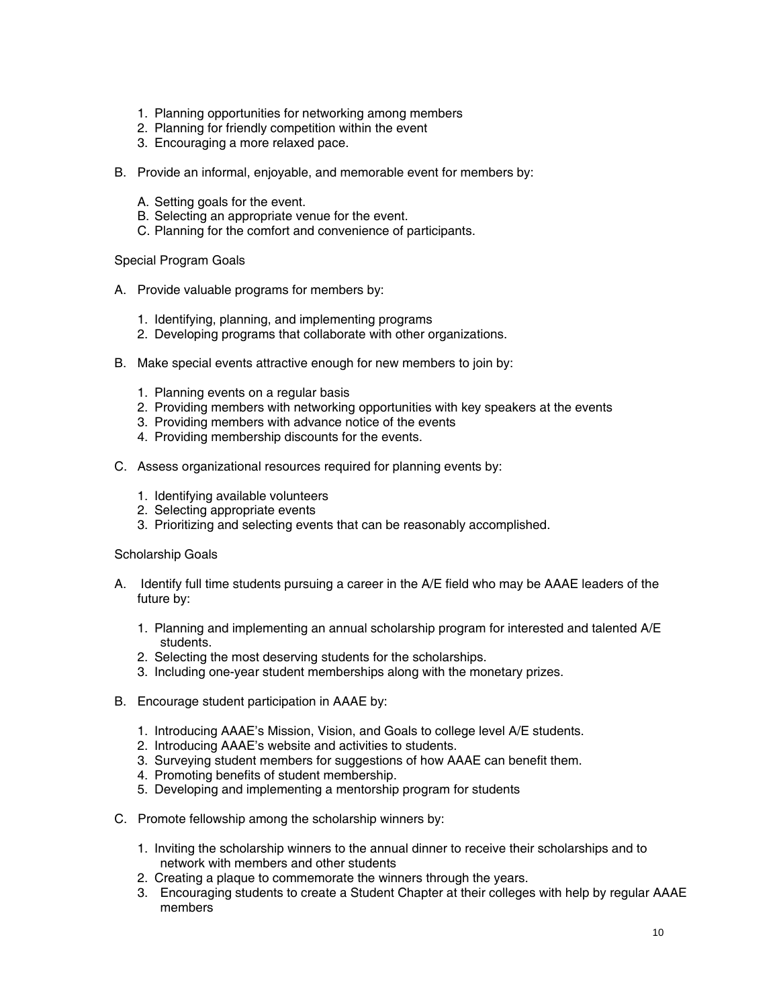- 1. Planning opportunities for networking among members
- 2. Planning for friendly competition within the event
- 3. Encouraging a more relaxed pace.
- B. Provide an informal, enjoyable, and memorable event for members by:
	- A. Setting goals for the event.
	- B. Selecting an appropriate venue for the event.
	- C. Planning for the comfort and convenience of participants.

Special Program Goals

- A. Provide valuable programs for members by:
	- 1. Identifying, planning, and implementing programs
	- 2. Developing programs that collaborate with other organizations.
- B. Make special events attractive enough for new members to join by:
	- 1. Planning events on a regular basis
	- 2. Providing members with networking opportunities with key speakers at the events
	- 3. Providing members with advance notice of the events
	- 4. Providing membership discounts for the events.
- C. Assess organizational resources required for planning events by:
	- 1. Identifying available volunteers
	- 2. Selecting appropriate events
	- 3. Prioritizing and selecting events that can be reasonably accomplished.

Scholarship Goals

- A. Identify full time students pursuing a career in the A/E field who may be AAAE leaders of the future by:
	- 1. Planning and implementing an annual scholarship program for interested and talented A/E students.
	- 2. Selecting the most deserving students for the scholarships.
	- 3. Including one-year student memberships along with the monetary prizes.
- B. Encourage student participation in AAAE by:
	- 1. Introducing AAAE's Mission, Vision, and Goals to college level A/E students.
	- 2. Introducing AAAE's website and activities to students.
	- 3. Surveying student members for suggestions of how AAAE can benefit them.
	- 4. Promoting benefits of student membership.
	- 5. Developing and implementing a mentorship program for students
- C. Promote fellowship among the scholarship winners by:
	- 1. Inviting the scholarship winners to the annual dinner to receive their scholarships and to network with members and other students
	- 2. Creating a plaque to commemorate the winners through the years.
	- 3. Encouraging students to create a Student Chapter at their colleges with help by regular AAAE members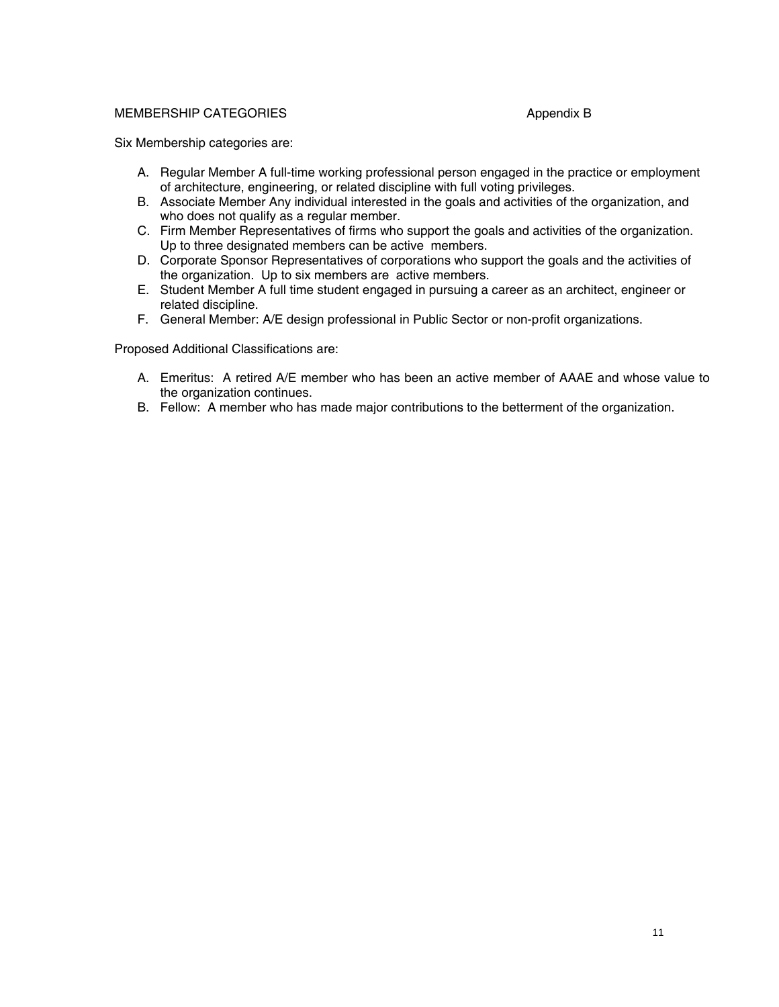#### MEMBERSHIP CATEGORIES Appendix B

Six Membership categories are:

- A. Regular Member A full-time working professional person engaged in the practice or employment of architecture, engineering, or related discipline with full voting privileges.
- B. Associate Member Any individual interested in the goals and activities of the organization, and who does not qualify as a regular member.
- C. Firm Member Representatives of firms who support the goals and activities of the organization. Up to three designated members can be active members.
- D. Corporate Sponsor Representatives of corporations who support the goals and the activities of the organization. Up to six members are active members.
- E. Student Member A full time student engaged in pursuing a career as an architect, engineer or related discipline.
- F. General Member: A/E design professional in Public Sector or non-profit organizations.

Proposed Additional Classifications are:

- A. Emeritus: A retired A/E member who has been an active member of AAAE and whose value to the organization continues.
- B. Fellow: A member who has made major contributions to the betterment of the organization.